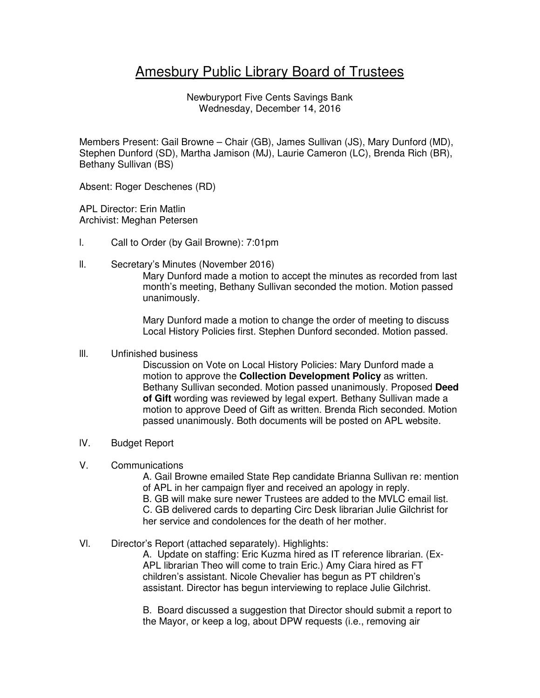# Amesbury Public Library Board of Trustees

Newburyport Five Cents Savings Bank Wednesday, December 14, 2016

Members Present: Gail Browne – Chair (GB), James Sullivan (JS), Mary Dunford (MD), Stephen Dunford (SD), Martha Jamison (MJ), Laurie Cameron (LC), Brenda Rich (BR), Bethany Sullivan (BS)

Absent: Roger Deschenes (RD)

APL Director: Erin Matlin Archivist: Meghan Petersen

- l. Call to Order (by Gail Browne): 7:01pm
- ll. Secretary's Minutes (November 2016)

Mary Dunford made a motion to accept the minutes as recorded from last month's meeting, Bethany Sullivan seconded the motion. Motion passed unanimously.

Mary Dunford made a motion to change the order of meeting to discuss Local History Policies first. Stephen Dunford seconded. Motion passed.

## lll. Unfinished business

Discussion on Vote on Local History Policies: Mary Dunford made a motion to approve the **Collection Development Policy** as written. Bethany Sullivan seconded. Motion passed unanimously. Proposed **Deed of Gift** wording was reviewed by legal expert. Bethany Sullivan made a motion to approve Deed of Gift as written. Brenda Rich seconded. Motion passed unanimously. Both documents will be posted on APL website.

- lV. Budget Report
- V. Communications

A. Gail Browne emailed State Rep candidate Brianna Sullivan re: mention of APL in her campaign flyer and received an apology in reply.

B. GB will make sure newer Trustees are added to the MVLC email list.

C. GB delivered cards to departing Circ Desk librarian Julie Gilchrist for her service and condolences for the death of her mother.

# Vl. Director's Report (attached separately). Highlights:

A. Update on staffing: Eric Kuzma hired as IT reference librarian. (Ex-APL librarian Theo will come to train Eric.) Amy Ciara hired as FT children's assistant. Nicole Chevalier has begun as PT children's assistant. Director has begun interviewing to replace Julie Gilchrist.

B. Board discussed a suggestion that Director should submit a report to the Mayor, or keep a log, about DPW requests (i.e., removing air